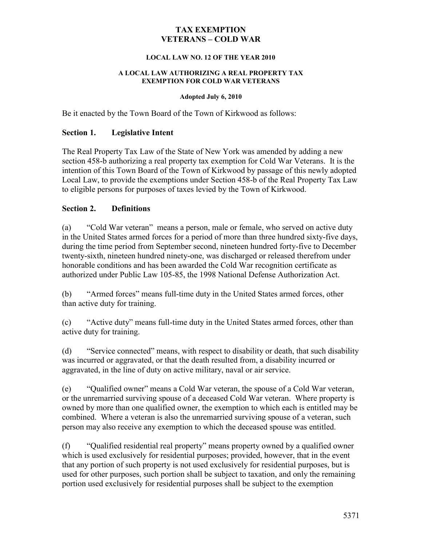#### **TAX EXEMPTION VETERANS – COLD WAR**

#### **LOCAL LAW NO. 12 OF THE YEAR 2010**

#### **A LOCAL LAW AUTHORIZING A REAL PROPERTY TAX EXEMPTION FOR COLD WAR VETERANS**

#### **Adopted July 6, 2010**

Be it enacted by the Town Board of the Town of Kirkwood as follows:

#### **Section 1. Legislative Intent**

The Real Property Tax Law of the State of New York was amended by adding a new section 458-b authorizing a real property tax exemption for Cold War Veterans. It is the intention of this Town Board of the Town of Kirkwood by passage of this newly adopted Local Law, to provide the exemptions under Section 458-b of the Real Property Tax Law to eligible persons for purposes of taxes levied by the Town of Kirkwood.

#### **Section 2. Definitions**

(a) "Cold War veteran" means a person, male or female, who served on active duty in the United States armed forces for a period of more than three hundred sixty-five days, during the time period from September second, nineteen hundred forty-five to December twenty-sixth, nineteen hundred ninety-one, was discharged or released therefrom under honorable conditions and has been awarded the Cold War recognition certificate as authorized under Public Law 105-85, the 1998 National Defense Authorization Act.

(b) "Armed forces" means full-time duty in the United States armed forces, other than active duty for training.

(c) "Active duty" means full-time duty in the United States armed forces, other than active duty for training.

(d) "Service connected" means, with respect to disability or death, that such disability was incurred or aggravated, or that the death resulted from, a disability incurred or aggravated, in the line of duty on active military, naval or air service.

(e) "Qualified owner" means a Cold War veteran, the spouse of a Cold War veteran, or the unremarried surviving spouse of a deceased Cold War veteran. Where property is owned by more than one qualified owner, the exemption to which each is entitled may be combined. Where a veteran is also the unremarried surviving spouse of a veteran, such person may also receive any exemption to which the deceased spouse was entitled.

(f) "Qualified residential real property" means property owned by a qualified owner which is used exclusively for residential purposes; provided, however, that in the event that any portion of such property is not used exclusively for residential purposes, but is used for other purposes, such portion shall be subject to taxation, and only the remaining portion used exclusively for residential purposes shall be subject to the exemption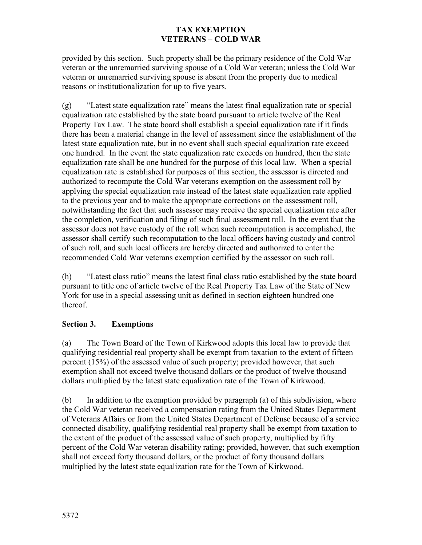## **TAX EXEMPTION VETERANS – COLD WAR**

provided by this section. Such property shall be the primary residence of the Cold War veteran or the unremarried surviving spouse of a Cold War veteran; unless the Cold War veteran or unremarried surviving spouse is absent from the property due to medical reasons or institutionalization for up to five years.

(g) "Latest state equalization rate" means the latest final equalization rate or special equalization rate established by the state board pursuant to article twelve of the Real Property Tax Law. The state board shall establish a special equalization rate if it finds there has been a material change in the level of assessment since the establishment of the latest state equalization rate, but in no event shall such special equalization rate exceed one hundred. In the event the state equalization rate exceeds on hundred, then the state equalization rate shall be one hundred for the purpose of this local law. When a special equalization rate is established for purposes of this section, the assessor is directed and authorized to recompute the Cold War veterans exemption on the assessment roll by applying the special equalization rate instead of the latest state equalization rate applied to the previous year and to make the appropriate corrections on the assessment roll, notwithstanding the fact that such assessor may receive the special equalization rate after the completion, verification and filing of such final assessment roll. In the event that the assessor does not have custody of the roll when such recomputation is accomplished, the assessor shall certify such recomputation to the local officers having custody and control of such roll, and such local officers are hereby directed and authorized to enter the recommended Cold War veterans exemption certified by the assessor on such roll.

(h) "Latest class ratio" means the latest final class ratio established by the state board pursuant to title one of article twelve of the Real Property Tax Law of the State of New York for use in a special assessing unit as defined in section eighteen hundred one thereof.

## **Section 3. Exemptions**

(a) The Town Board of the Town of Kirkwood adopts this local law to provide that qualifying residential real property shall be exempt from taxation to the extent of fifteen percent (15%) of the assessed value of such property; provided however, that such exemption shall not exceed twelve thousand dollars or the product of twelve thousand dollars multiplied by the latest state equalization rate of the Town of Kirkwood.

(b) In addition to the exemption provided by paragraph (a) of this subdivision, where the Cold War veteran received a compensation rating from the United States Department of Veterans Affairs or from the United States Department of Defense because of a service connected disability, qualifying residential real property shall be exempt from taxation to the extent of the product of the assessed value of such property, multiplied by fifty percent of the Cold War veteran disability rating; provided, however, that such exemption shall not exceed forty thousand dollars, or the product of forty thousand dollars multiplied by the latest state equalization rate for the Town of Kirkwood.